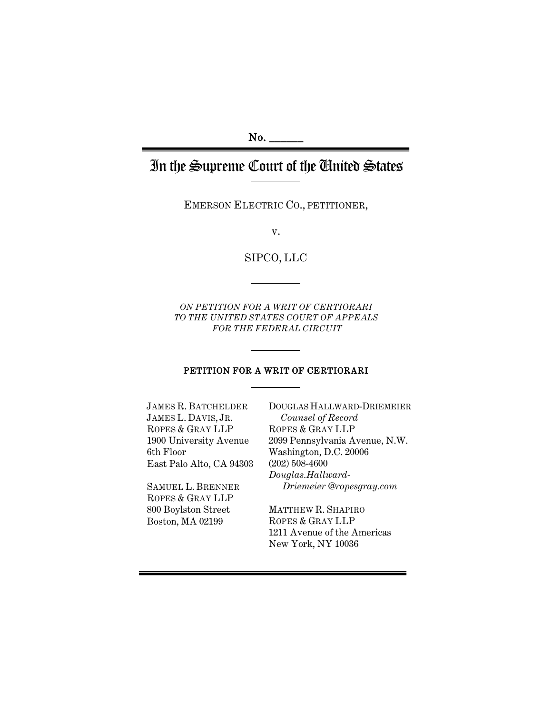#### No.

# In the Supreme Court of the United States

EMERSON ELECTRIC CO., PETITIONER,

v.

SIPCO, LLC

*ON PETITION FOR A WRIT OF CERTIORARI TO THE UNITED STATES COURT OF APPEALS FOR THE FEDERAL CIRCUIT*

#### PETITION FOR A WRIT OF CERTIORARI

JAMES R. BATCHELDER JAMES L. DAVIS, JR. ROPES & GRAY LLP 1900 University Avenue 6th Floor East Palo Alto, CA 94303

SAMUEL L. BRENNER ROPES & GRAY LLP 800 Boylston Street Boston, MA 02199

DOUGLAS HALLWARD-DRIEMEIER *Counsel of Record* ROPES & GRAY LLP 2099 Pennsylvania Avenue, N.W. Washington, D.C. 20006 (202) 508-4600 *Douglas.Hallward-Driemeier @ropesgray.com*

MATTHEW R. SHAPIRO ROPES & GRAY LLP 1211 Avenue of the Americas New York, NY 10036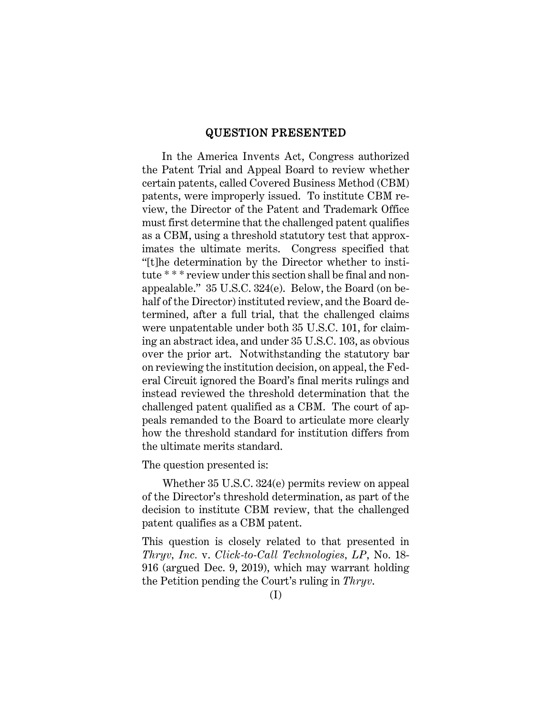#### QUESTION PRESENTED

In the America Invents Act, Congress authorized the Patent Trial and Appeal Board to review whether certain patents, called Covered Business Method (CBM) patents, were improperly issued. To institute CBM review, the Director of the Patent and Trademark Office must first determine that the challenged patent qualifies as a CBM, using a threshold statutory test that approximates the ultimate merits. Congress specified that "[t]he determination by the Director whether to institute \* \* \* review under this section shall be final and nonappealable." 35 U.S.C. 324(e). Below, the Board (on behalf of the Director) instituted review, and the Board determined, after a full trial, that the challenged claims were unpatentable under both 35 U.S.C. 101, for claiming an abstract idea, and under 35 U.S.C. 103, as obvious over the prior art. Notwithstanding the statutory bar on reviewing the institution decision, on appeal, the Federal Circuit ignored the Board's final merits rulings and instead reviewed the threshold determination that the challenged patent qualified as a CBM. The court of appeals remanded to the Board to articulate more clearly how the threshold standard for institution differs from the ultimate merits standard.

The question presented is:

Whether 35 U.S.C. 324(e) permits review on appeal of the Director's threshold determination, as part of the decision to institute CBM review, that the challenged patent qualifies as a CBM patent.

This question is closely related to that presented in *Thryv, Inc.* v. *Click-to-Call Technologies, LP*, No. 18- 916 (argued Dec. 9, 2019), which may warrant holding the Petition pending the Court's ruling in *Thryv*.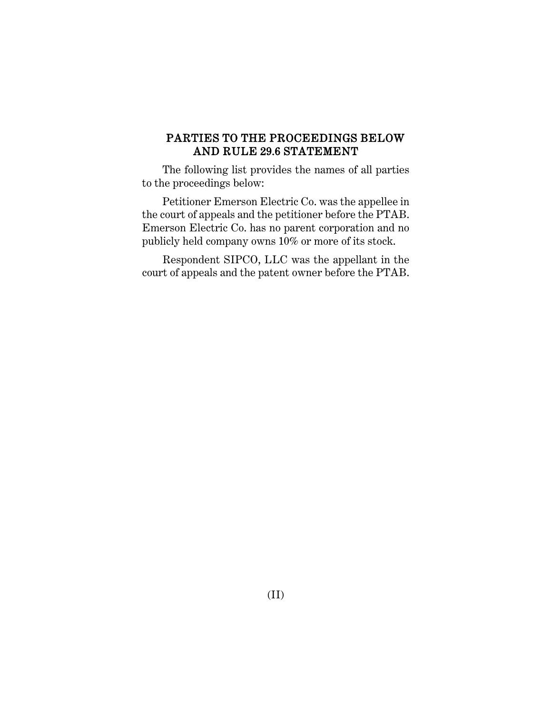# PARTIES TO THE PROCEEDINGS BELOW AND RULE 29.6 STATEMENT

The following list provides the names of all parties to the proceedings below:

Petitioner Emerson Electric Co. was the appellee in the court of appeals and the petitioner before the PTAB. Emerson Electric Co. has no parent corporation and no publicly held company owns 10% or more of its stock.

Respondent SIPCO, LLC was the appellant in the court of appeals and the patent owner before the PTAB.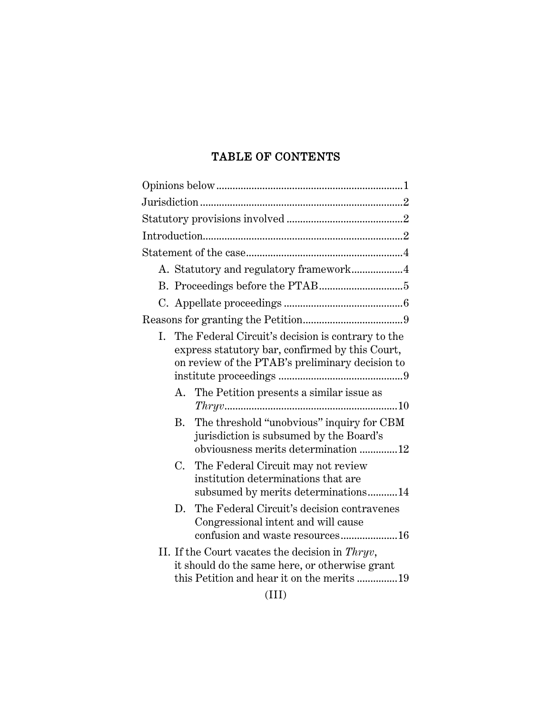# TABLE OF CONTENTS

| A. Statutory and regulatory framework4                                                                                                                        |
|---------------------------------------------------------------------------------------------------------------------------------------------------------------|
|                                                                                                                                                               |
|                                                                                                                                                               |
|                                                                                                                                                               |
| The Federal Circuit's decision is contrary to the<br>I.<br>express statutory bar, confirmed by this Court,<br>on review of the PTAB's preliminary decision to |
| The Petition presents a similar issue as<br>А.                                                                                                                |
| The threshold "unobvious" inquiry for CBM<br>Β.<br>jurisdiction is subsumed by the Board's<br>obviousness merits determination 12                             |
| C.<br>The Federal Circuit may not review<br>institution determinations that are<br>subsumed by merits determinations14                                        |
| The Federal Circuit's decision contravenes<br>D.<br>Congressional intent and will cause                                                                       |
| II. If the Court vacates the decision in Thryv,<br>it should do the same here, or otherwise grant<br>this Petition and hear it on the merits 19               |
| (III)                                                                                                                                                         |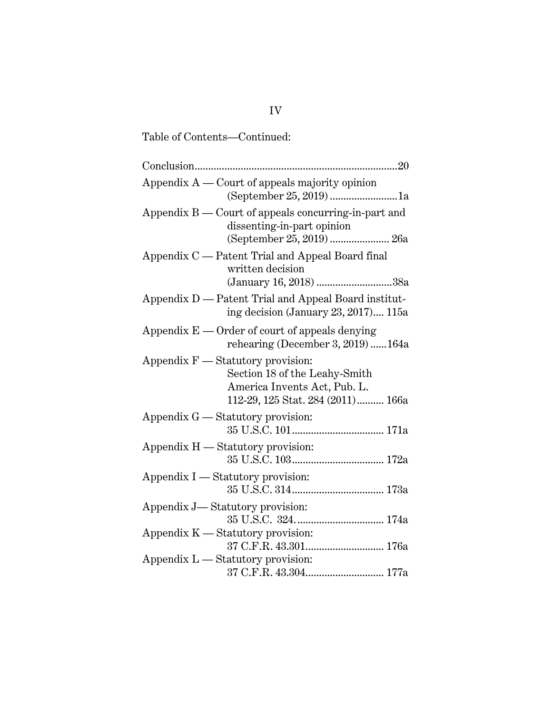| Tanic of Coments.<br>∪viiùiiucu.                                                                                                          |  |
|-------------------------------------------------------------------------------------------------------------------------------------------|--|
| 20                                                                                                                                        |  |
| Appendix $A$ — Court of appeals majority opinion<br>(September 25, 2019) 1a                                                               |  |
| Appendix $B$ — Court of appeals concurring-in-part and<br>dissenting-in-part opinion<br>(September 25, 2019)  26a                         |  |
| Appendix C — Patent Trial and Appeal Board final<br>written decision<br>(January 16, 2018) 38a                                            |  |
| Appendix D — Patent Trial and Appeal Board institut-<br>ing decision (January 23, 2017) $115a$                                            |  |
| Appendix $E$ — Order of court of appeals denying<br>rehearing (December 3, 2019)164a                                                      |  |
| Appendix $F -$ Statutory provision:<br>Section 18 of the Leahy-Smith<br>America Invents Act, Pub. L.<br>112-29, 125 Stat. 284 (2011) 166a |  |
| Appendix G — Statutory provision:                                                                                                         |  |
| Appendix H — Statutory provision:                                                                                                         |  |
| Appendix I — Statutory provision:                                                                                                         |  |
| Appendix J—Statutory provision:                                                                                                           |  |
| Appendix $K$ — Statutory provision:                                                                                                       |  |
| Appendix L — Statutory provision:<br>$37$ C.F.R. $43.304 \ldots \ldots \ldots \ldots \ldots \ldots \ldots \ldots \ldots \ldots 177$ a     |  |

Table of Contents—Continued: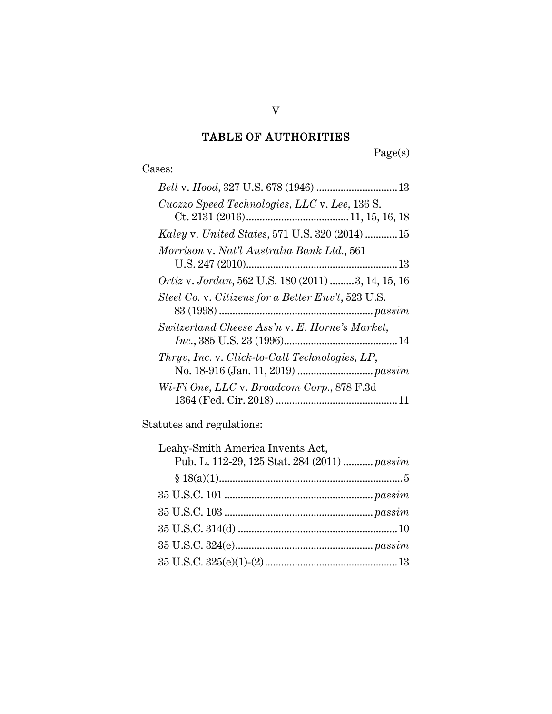# TABLE OF AUTHORITIES

Page(s)

# Cases:

| Cuozzo Speed Technologies, LLC v. Lee, 136 S.      |
|----------------------------------------------------|
|                                                    |
| Kaley v. United States, 571 U.S. 320 (2014)  15    |
| Morrison v. Nat'l Australia Bank Ltd., 561         |
|                                                    |
| Ortiz v. Jordan, 562 U.S. 180 (2011) 3, 14, 15, 16 |
| Steel Co. v. Citizens for a Better Env't, 523 U.S. |
|                                                    |
| Switzerland Cheese Ass'n v. E. Horne's Market,     |
|                                                    |
| Thryv, Inc. v. Click-to-Call Technologies, LP,     |
|                                                    |
| Wi-Fi One, LLC v. Broadcom Corp., 878 F.3d         |
|                                                    |

Statutes and regulations:

| Leahy-Smith America Invents Act,             |  |
|----------------------------------------------|--|
| Pub. L. 112-29, 125 Stat. 284 (2011)  passim |  |
|                                              |  |
|                                              |  |
|                                              |  |
|                                              |  |
|                                              |  |
|                                              |  |
|                                              |  |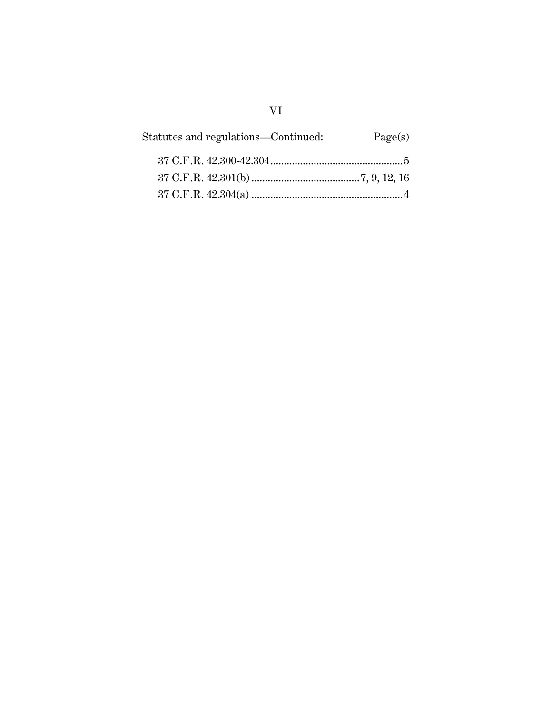| Page(s) | Statutes and regulations—Continued: |
|---------|-------------------------------------|
|         |                                     |
|         |                                     |
|         |                                     |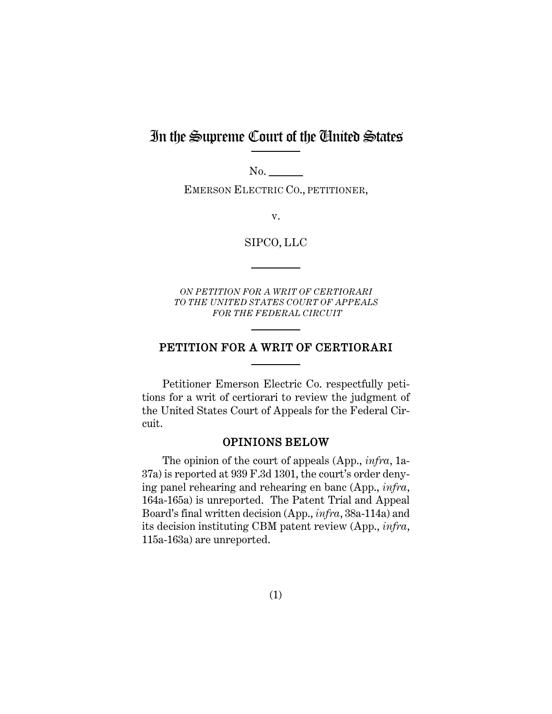# In the Supreme Court of the United States

No.

EMERSON ELECTRIC CO., PETITIONER,

v.

SIPCO, LLC

*ON PETITION FOR A WRIT OF CERTIORARI TO THE UNITED STATES COURT OF APPEALS FOR THE FEDERAL CIRCUIT*

# PETITION FOR A WRIT OF CERTIORARI

Petitioner Emerson Electric Co. respectfully petitions for a writ of certiorari to review the judgment of the United States Court of Appeals for the Federal Circuit.

## OPINIONS BELOW

<span id="page-7-0"></span>The opinion of the court of appeals (App., *infra*, 1a-37a) is reported at 939 F.3d 1301, the court's order denying panel rehearing and rehearing en banc (App., *infra*, 164a-165a) is unreported. The Patent Trial and Appeal Board's final written decision (App., *infra*, 38a-114a) and its decision instituting CBM patent review (App., *infra*, 115a-163a) are unreported.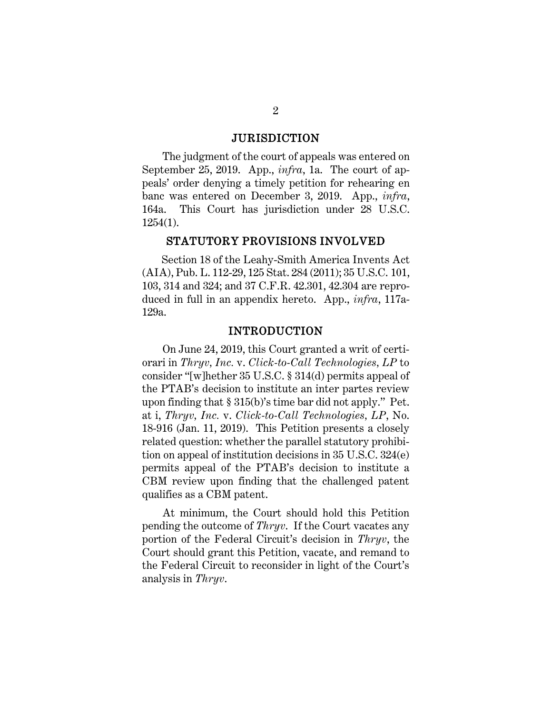#### JURISDICTION

<span id="page-8-0"></span>The judgment of the court of appeals was entered on September 25, 2019. App., *infra*, 1a. The court of appeals' order denying a timely petition for rehearing en banc was entered on December 3, 2019. App., *infra*, 164a. This Court has jurisdiction under 28 U.S.C. 1254(1).

#### STATUTORY PROVISIONS INVOLVED

<span id="page-8-1"></span>Section 18 of the Leahy-Smith America Invents Act (AIA), Pub. L. 112-29, 125 Stat. 284 (2011); 35 U.S.C. 101, 103, 314 and 324; and 37 C.F.R. 42.301, 42.304 are reproduced in full in an appendix hereto. App., *infra*, 117a-129a.

#### INTRODUCTION

<span id="page-8-3"></span><span id="page-8-2"></span>On June 24, 2019, this Court granted a writ of certiorari in *Thryv, Inc.* v. *Click-to-Call Technologies, LP* to consider "[w]hether 35 U.S.C. § 314(d) permits appeal of the PTAB's decision to institute an inter partes review upon finding that § 315(b)'s time bar did not apply." Pet. at i, *Thryv, Inc.* v. *Click-to-Call Technologies, LP*, No. 18-916 (Jan. 11, 2019). This Petition presents a closely related question: whether the parallel statutory prohibition on appeal of institution decisions in 35 U.S.C. 324(e) permits appeal of the PTAB's decision to institute a CBM review upon finding that the challenged patent qualifies as a CBM patent.

At minimum, the Court should hold this Petition pending the outcome of *Thryv*. If the Court vacates any portion of the Federal Circuit's decision in *Thryv*, the Court should grant this Petition, vacate, and remand to the Federal Circuit to reconsider in light of the Court's analysis in *Thryv*.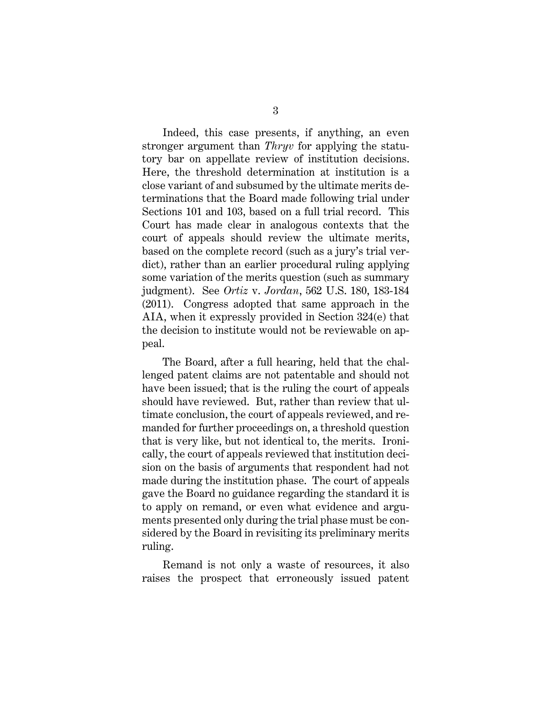Indeed, this case presents, if anything, an even stronger argument than *Thryv* for applying the statutory bar on appellate review of institution decisions. Here, the threshold determination at institution is a close variant of and subsumed by the ultimate merits determinations that the Board made following trial under Sections 101 and 103, based on a full trial record. This Court has made clear in analogous contexts that the court of appeals should review the ultimate merits, based on the complete record (such as a jury's trial verdict), rather than an earlier procedural ruling applying some variation of the merits question (such as summary judgment). See *Ortiz* v. *Jordan*, 562 U.S. 180, 183-184 (2011). Congress adopted that same approach in the AIA, when it expressly provided in Section 324(e) that the decision to institute would not be reviewable on appeal.

<span id="page-9-0"></span>The Board, after a full hearing, held that the challenged patent claims are not patentable and should not have been issued; that is the ruling the court of appeals should have reviewed. But, rather than review that ultimate conclusion, the court of appeals reviewed, and remanded for further proceedings on, a threshold question that is very like, but not identical to, the merits. Ironically, the court of appeals reviewed that institution decision on the basis of arguments that respondent had not made during the institution phase. The court of appeals gave the Board no guidance regarding the standard it is to apply on remand, or even what evidence and arguments presented only during the trial phase must be considered by the Board in revisiting its preliminary merits ruling.

Remand is not only a waste of resources, it also raises the prospect that erroneously issued patent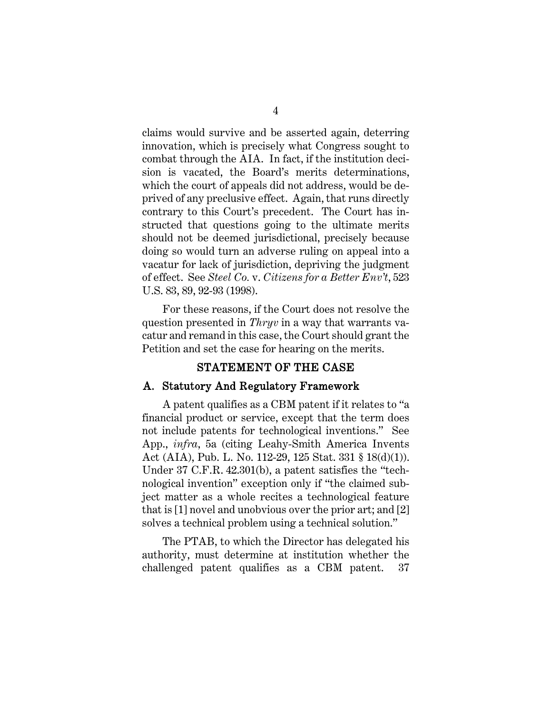claims would survive and be asserted again, deterring innovation, which is precisely what Congress sought to combat through the AIA. In fact, if the institution decision is vacated, the Board's merits determinations, which the court of appeals did not address, would be deprived of any preclusive effect. Again, that runs directly contrary to this Court's precedent. The Court has instructed that questions going to the ultimate merits should not be deemed jurisdictional, precisely because doing so would turn an adverse ruling on appeal into a vacatur for lack of jurisdiction, depriving the judgment of effect. See *Steel Co.* v. *Citizens for a Better Env't*, 523 U.S. 83, 89, 92-93 (1998).

<span id="page-10-2"></span>For these reasons, if the Court does not resolve the question presented in *Thryv* in a way that warrants vacatur and remand in this case, the Court should grant the Petition and set the case for hearing on the merits.

#### STATEMENT OF THE CASE

#### <span id="page-10-1"></span><span id="page-10-0"></span>A. Statutory And Regulatory Framework

<span id="page-10-3"></span>A patent qualifies as a CBM patent if it relates to "a financial product or service, except that the term does not include patents for technological inventions." See App., *infra*, 5a (citing Leahy-Smith America Invents Act (AIA), Pub. L. No. 112-29, 125 Stat. 331 § 18(d)(1)). Under 37 C.F.R. 42.301(b), a patent satisfies the "technological invention" exception only if "the claimed subject matter as a whole recites a technological feature that is [1] novel and unobvious over the prior art; and [2] solves a technical problem using a technical solution."

<span id="page-10-4"></span>The PTAB, to which the Director has delegated his authority, must determine at institution whether the challenged patent qualifies as a CBM patent. 37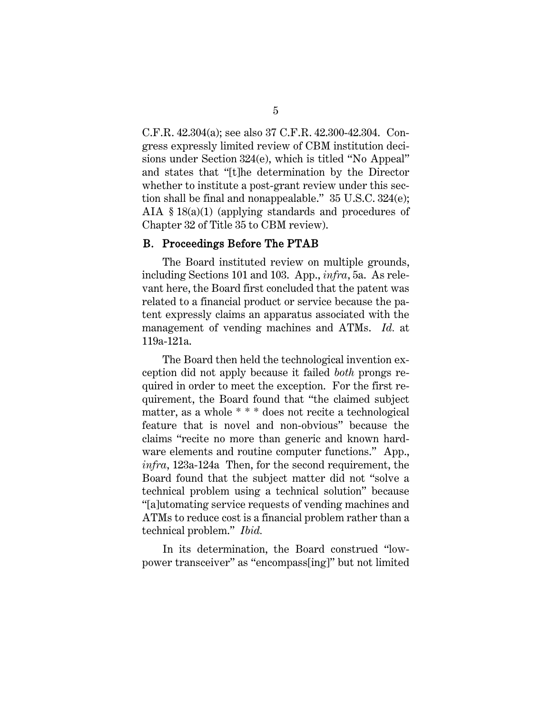<span id="page-11-2"></span>C.F.R. 42.304(a); see also 37 C.F.R. 42.300-42.304. Congress expressly limited review of CBM institution decisions under Section 324(e), which is titled "No Appeal" and states that "[t]he determination by the Director whether to institute a post-grant review under this section shall be final and nonappealable." 35 U.S.C. 324(e); AIA § 18(a)(1) (applying standards and procedures of Chapter 32 of Title 35 to CBM review).

#### <span id="page-11-1"></span><span id="page-11-0"></span>B. Proceedings Before The PTAB

The Board instituted review on multiple grounds, including Sections 101 and 103. App., *infra*, 5a. As relevant here, the Board first concluded that the patent was related to a financial product or service because the patent expressly claims an apparatus associated with the management of vending machines and ATMs. *Id.* at 119a-121a.

The Board then held the technological invention exception did not apply because it failed *both* prongs required in order to meet the exception. For the first requirement, the Board found that "the claimed subject matter, as a whole \* \* \* does not recite a technological feature that is novel and non-obvious" because the claims "recite no more than generic and known hardware elements and routine computer functions." App., *infra*, 123a-124a Then, for the second requirement, the Board found that the subject matter did not "solve a technical problem using a technical solution" because "[a]utomating service requests of vending machines and ATMs to reduce cost is a financial problem rather than a technical problem." *Ibid.*

In its determination, the Board construed "lowpower transceiver" as "encompass[ing]" but not limited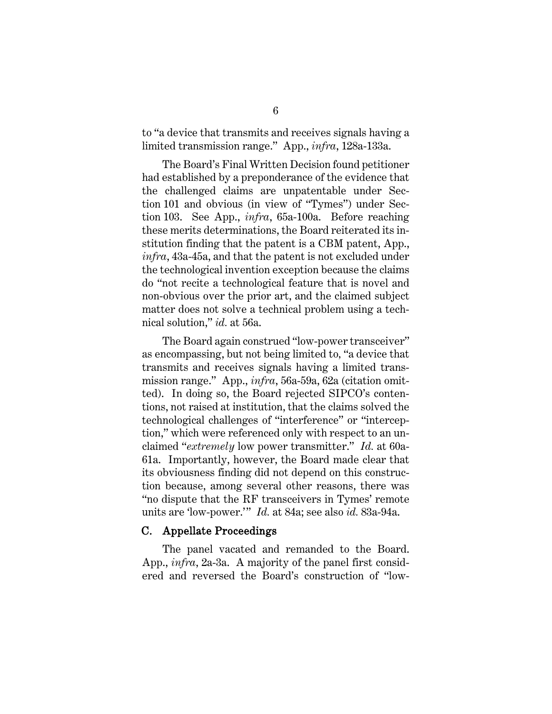to "a device that transmits and receives signals having a limited transmission range." App., *infra*, 128a-133a.

The Board's Final Written Decision found petitioner had established by a preponderance of the evidence that the challenged claims are unpatentable under Section 101 and obvious (in view of "Tymes") under Section 103. See App., *infra*, 65a-100a. Before reaching these merits determinations, the Board reiterated its institution finding that the patent is a CBM patent, App., *infra*, 43a-45a, and that the patent is not excluded under the technological invention exception because the claims do "not recite a technological feature that is novel and non-obvious over the prior art, and the claimed subject matter does not solve a technical problem using a technical solution," *id.* at 56a.

The Board again construed "low-power transceiver" as encompassing, but not being limited to*,* "a device that transmits and receives signals having a limited transmission range." App., *infra*, 56a-59a, 62a (citation omitted). In doing so, the Board rejected SIPCO's contentions, not raised at institution, that the claims solved the technological challenges of "interference" or "interception," which were referenced only with respect to an unclaimed "*extremely* low power transmitter." *Id.* at 60a-61a. Importantly, however, the Board made clear that its obviousness finding did not depend on this construction because, among several other reasons, there was "no dispute that the RF transceivers in Tymes' remote units are 'low-power.'" *Id.* at 84a; see also *id.* 83a-94a.

#### <span id="page-12-0"></span>C. Appellate Proceedings

The panel vacated and remanded to the Board. App., *infra*, 2a-3a. A majority of the panel first considered and reversed the Board's construction of "low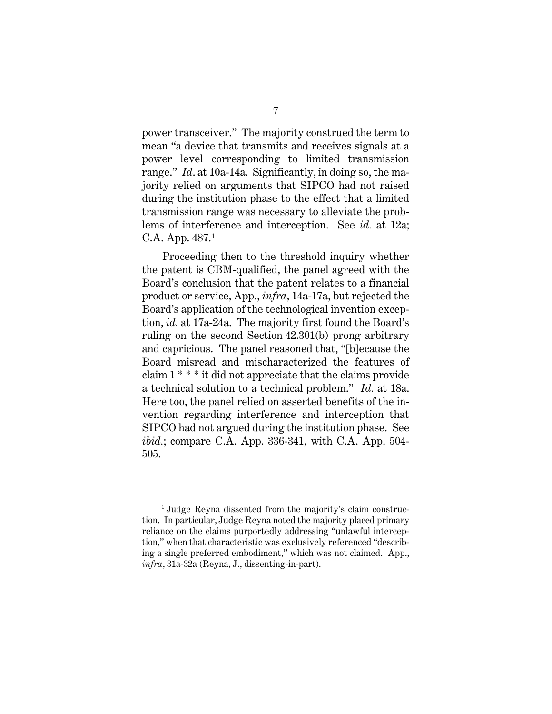power transceiver." The majority construed the term to mean "a device that transmits and receives signals at a power level corresponding to limited transmission range." *Id*. at 10a-14a. Significantly, in doing so, the majority relied on arguments that SIPCO had not raised during the institution phase to the effect that a limited transmission range was necessary to alleviate the problems of interference and interception. See *id.* at 12a; C.A. App. 487.[1](#page-13-0)

Proceeding then to the threshold inquiry whether the patent is CBM-qualified, the panel agreed with the Board's conclusion that the patent relates to a financial product or service, App., *infra*, 14a-17a, but rejected the Board's application of the technological invention exception, *id.* at 17a-24a. The majority first found the Board's ruling on the second Section 42.301(b) prong arbitrary and capricious. The panel reasoned that, "[b]ecause the Board misread and mischaracterized the features of claim 1 \* \* \* it did not appreciate that the claims provide a technical solution to a technical problem." *Id.* at 18a. Here too, the panel relied on asserted benefits of the invention regarding interference and interception that SIPCO had not argued during the institution phase. See *ibid.*; compare C.A. App. 336-341, with C.A. App. 504-505.

<span id="page-13-0"></span><sup>1</sup> Judge Reyna dissented from the majority's claim construction. In particular, Judge Reyna noted the majority placed primary reliance on the claims purportedly addressing "unlawful interception," when that characteristic was exclusively referenced "describing a single preferred embodiment," which was not claimed. App., *infra*, 31a-32a (Reyna, J., dissenting-in-part).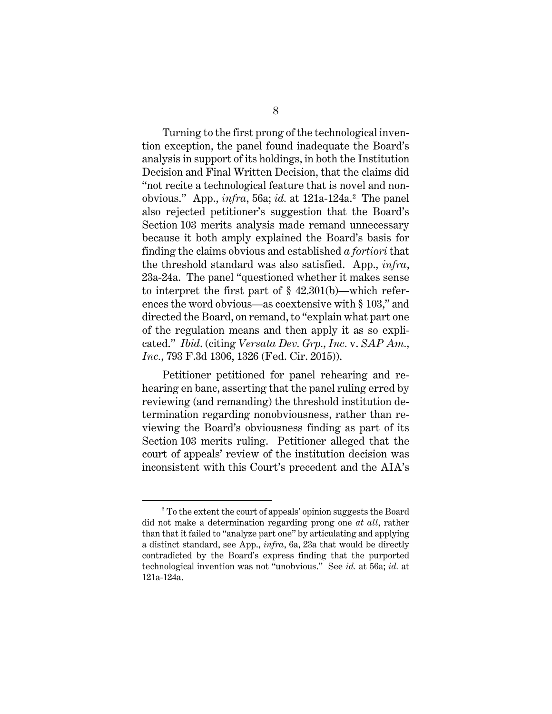Turning to the first prong of the technological invention exception, the panel found inadequate the Board's analysis in support of its holdings, in both the Institution Decision and Final Written Decision, that the claims did "not recite a technological feature that is novel and nonobvious." App., *infra*, 56a; *id.* at 1[2](#page-14-0)1a-124a.<sup>2</sup> The panel also rejected petitioner's suggestion that the Board's Section 103 merits analysis made remand unnecessary because it both amply explained the Board's basis for finding the claims obvious and established *a fortiori* that the threshold standard was also satisfied. App., *infra*, 23a-24a. The panel "questioned whether it makes sense to interpret the first part of § 42.301(b)—which references the word obvious—as coextensive with § 103," and directed the Board, on remand, to "explain what part one of the regulation means and then apply it as so explicated." *Ibid*. (citing *Versata Dev. Grp., Inc.* v. *SAP Am., Inc.*, 793 F.3d 1306, 1326 (Fed. Cir. 2015)).

Petitioner petitioned for panel rehearing and rehearing en banc, asserting that the panel ruling erred by reviewing (and remanding) the threshold institution determination regarding nonobviousness, rather than reviewing the Board's obviousness finding as part of its Section 103 merits ruling. Petitioner alleged that the court of appeals' review of the institution decision was inconsistent with this Court's precedent and the AIA's

<span id="page-14-0"></span><sup>2</sup> To the extent the court of appeals' opinion suggests the Board did not make a determination regarding prong one *at all*, rather than that it failed to "analyze part one" by articulating and applying a distinct standard, see App., *infra*, 6a, 23a that would be directly contradicted by the Board's express finding that the purported technological invention was not "unobvious." See *id.* at 56a; *id.* at 121a-124a.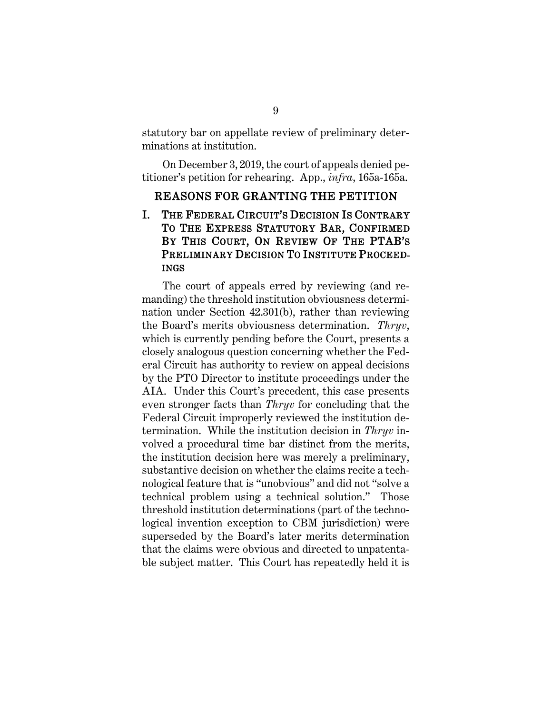statutory bar on appellate review of preliminary determinations at institution.

On December 3, 2019, the court of appeals denied petitioner's petition for rehearing. App., *infra*, 165a-165a.

#### <span id="page-15-0"></span>REASONS FOR GRANTING THE PETITION

# <span id="page-15-1"></span>I. THE FEDERAL CIRCUIT'S DECISION IS CONTRARY TO THE EXPRESS STATUTORY BAR, CONFIRMED BY THIS COURT, ON REVIEW OF THE PTAB'S PRELIMINARY DECISION TO INSTITUTE PROCEED-INGS

The court of appeals erred by reviewing (and remanding) the threshold institution obviousness determination under Section 42.301(b), rather than reviewing the Board's merits obviousness determination. *Thryv*, which is currently pending before the Court, presents a closely analogous question concerning whether the Federal Circuit has authority to review on appeal decisions by the PTO Director to institute proceedings under the AIA. Under this Court's precedent, this case presents even stronger facts than *Thryv* for concluding that the Federal Circuit improperly reviewed the institution determination. While the institution decision in *Thryv* involved a procedural time bar distinct from the merits, the institution decision here was merely a preliminary, substantive decision on whether the claims recite a technological feature that is "unobvious" and did not "solve a technical problem using a technical solution." Those threshold institution determinations (part of the technological invention exception to CBM jurisdiction) were superseded by the Board's later merits determination that the claims were obvious and directed to unpatentable subject matter. This Court has repeatedly held it is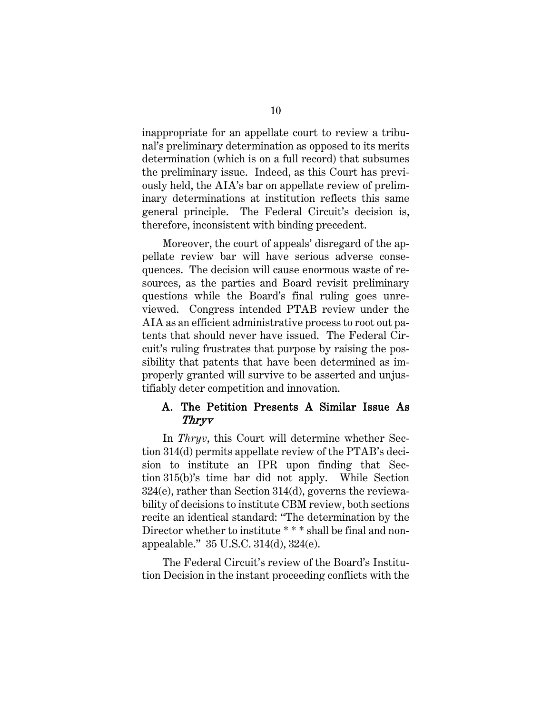inappropriate for an appellate court to review a tribunal's preliminary determination as opposed to its merits determination (which is on a full record) that subsumes the preliminary issue. Indeed, as this Court has previously held, the AIA's bar on appellate review of preliminary determinations at institution reflects this same general principle. The Federal Circuit's decision is, therefore, inconsistent with binding precedent.

Moreover, the court of appeals' disregard of the appellate review bar will have serious adverse consequences. The decision will cause enormous waste of resources, as the parties and Board revisit preliminary questions while the Board's final ruling goes unreviewed. Congress intended PTAB review under the AIA as an efficient administrative process to root out patents that should never have issued. The Federal Circuit's ruling frustrates that purpose by raising the possibility that patents that have been determined as improperly granted will survive to be asserted and unjustifiably deter competition and innovation.

### <span id="page-16-0"></span>A. The Petition Presents A Similar Issue As Thryv

In *Thryv*, this Court will determine whether Section 314(d) permits appellate review of the PTAB's decision to institute an IPR upon finding that Section 315(b)'s time bar did not apply. While Section 324(e), rather than Section 314(d), governs the reviewability of decisions to institute CBM review, both sections recite an identical standard: "The determination by the Director whether to institute \*\*\* shall be final and nonappealable." 35 U.S.C. 314(d), 324(e).

<span id="page-16-1"></span>The Federal Circuit's review of the Board's Institution Decision in the instant proceeding conflicts with the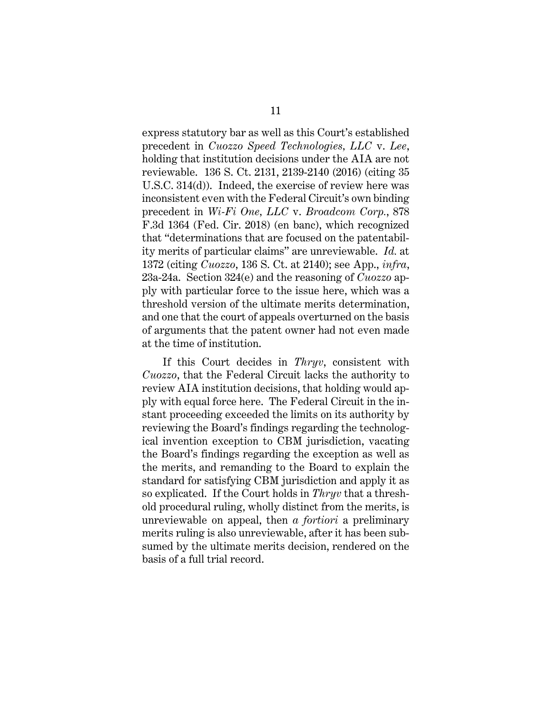<span id="page-17-1"></span><span id="page-17-0"></span>express statutory bar as well as this Court's established precedent in *Cuozzo Speed Technologies, LLC* v. *Lee*, holding that institution decisions under the AIA are not reviewable. 136 S. Ct. 2131, 2139-2140 (2016) (citing 35 U.S.C. 314(d)). Indeed, the exercise of review here was inconsistent even with the Federal Circuit's own binding precedent in *Wi-Fi One, LLC* v. *Broadcom Corp.*, 878 F.3d 1364 (Fed. Cir. 2018) (en banc), which recognized that "determinations that are focused on the patentability merits of particular claims" are unreviewable. *Id.* at 1372 (citing *Cuozzo*, 136 S. Ct. at 2140); see App., *infra*, 23a-24a. Section 324(e) and the reasoning of *Cuozzo* apply with particular force to the issue here, which was a threshold version of the ultimate merits determination, and one that the court of appeals overturned on the basis of arguments that the patent owner had not even made at the time of institution.

If this Court decides in *Thryv*, consistent with *Cuozzo*, that the Federal Circuit lacks the authority to review AIA institution decisions, that holding would apply with equal force here. The Federal Circuit in the instant proceeding exceeded the limits on its authority by reviewing the Board's findings regarding the technological invention exception to CBM jurisdiction, vacating the Board's findings regarding the exception as well as the merits, and remanding to the Board to explain the standard for satisfying CBM jurisdiction and apply it as so explicated. If the Court holds in *Thryv* that a threshold procedural ruling, wholly distinct from the merits, is unreviewable on appeal, then *a fortiori* a preliminary merits ruling is also unreviewable, after it has been subsumed by the ultimate merits decision, rendered on the basis of a full trial record.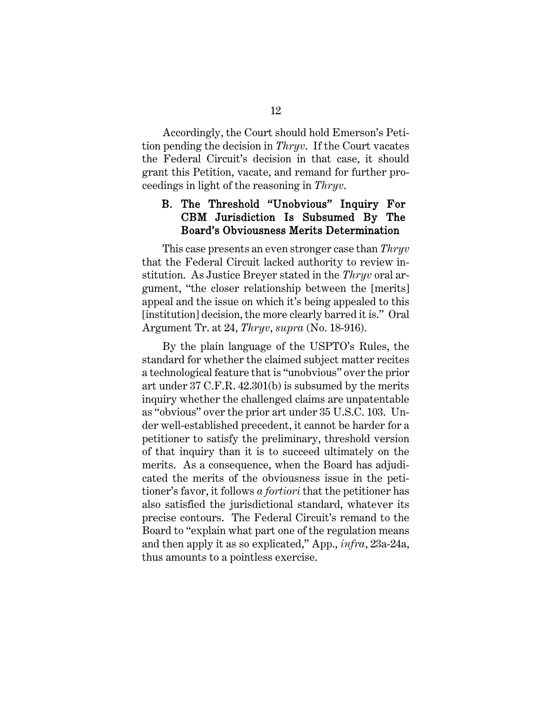Accordingly, the Court should hold Emerson's Petition pending the decision in *Thryv*. If the Court vacates the Federal Circuit's decision in that case, it should grant this Petition, vacate, and remand for further proceedings in light of the reasoning in *Thryv*.

## <span id="page-18-0"></span>B. The Threshold "Unobvious" Inquiry For CBM Jurisdiction Is Subsumed By The Board's Obviousness Merits Determination

This case presents an even stronger case than *Thryv*  that the Federal Circuit lacked authority to review institution. As Justice Breyer stated in the *Thryv* oral argument, "the closer relationship between the [merits] appeal and the issue on which it's being appealed to this [institution] decision, the more clearly barred it is." Oral Argument Tr. at 24, *Thryv*, *supra* (No. 18-916).

By the plain language of the USPTO's Rules, the standard for whether the claimed subject matter recites a technological feature that is "unobvious" over the prior art under 37 C.F.R. 42.301(b) is subsumed by the merits inquiry whether the challenged claims are unpatentable as "obvious" over the prior art under 35 U.S.C. 103. Under well-established precedent, it cannot be harder for a petitioner to satisfy the preliminary, threshold version of that inquiry than it is to succeed ultimately on the merits. As a consequence, when the Board has adjudicated the merits of the obviousness issue in the petitioner's favor, it follows *a fortiori* that the petitioner has also satisfied the jurisdictional standard, whatever its precise contours. The Federal Circuit's remand to the Board to "explain what part one of the regulation means and then apply it as so explicated," App., *infra*, 23a-24a, thus amounts to a pointless exercise.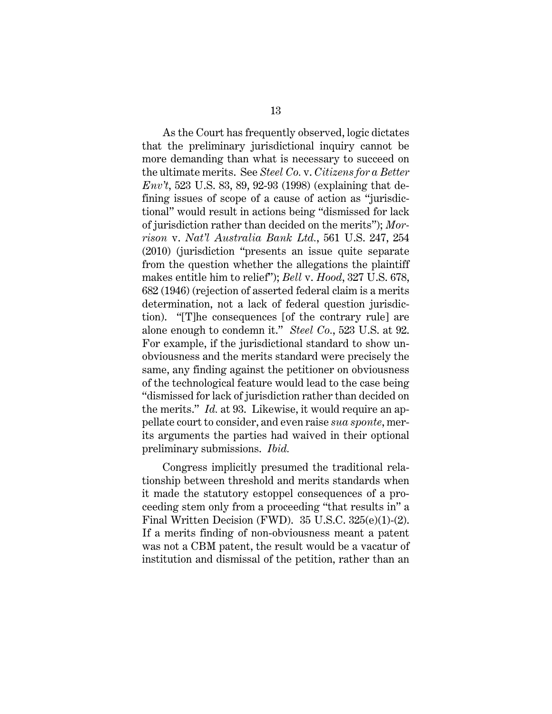<span id="page-19-1"></span><span id="page-19-0"></span>As the Court has frequently observed, logic dictates that the preliminary jurisdictional inquiry cannot be more demanding than what is necessary to succeed on the ultimate merits. See *Steel Co.* v. *Citizens for a Better Env't*, 523 U.S. 83, 89, 92-93 (1998) (explaining that defining issues of scope of a cause of action as "jurisdictional" would result in actions being "dismissed for lack of jurisdiction rather than decided on the merits"); *Morrison* v. *Nat'l Australia Bank Ltd.*, 561 U.S. 247, 254 (2010) (jurisdiction "presents an issue quite separate from the question whether the allegations the plaintiff makes entitle him to relief"); *Bell* v. *Hood*, 327 U.S. 678, 682 (1946) (rejection of asserted federal claim is a merits determination, not a lack of federal question jurisdiction). "[T]he consequences [of the contrary rule] are alone enough to condemn it." *Steel Co.*, 523 U.S. at 92. For example, if the jurisdictional standard to show unobviousness and the merits standard were precisely the same, any finding against the petitioner on obviousness of the technological feature would lead to the case being "dismissed for lack of jurisdiction rather than decided on the merits." *Id.* at 93. Likewise, it would require an appellate court to consider, and even raise *sua sponte*, merits arguments the parties had waived in their optional preliminary submissions. *Ibid.*

<span id="page-19-2"></span>Congress implicitly presumed the traditional relationship between threshold and merits standards when it made the statutory estoppel consequences of a proceeding stem only from a proceeding "that results in" a Final Written Decision (FWD). 35 U.S.C. 325(e)(1)-(2). If a merits finding of non-obviousness meant a patent was not a CBM patent, the result would be a vacatur of institution and dismissal of the petition, rather than an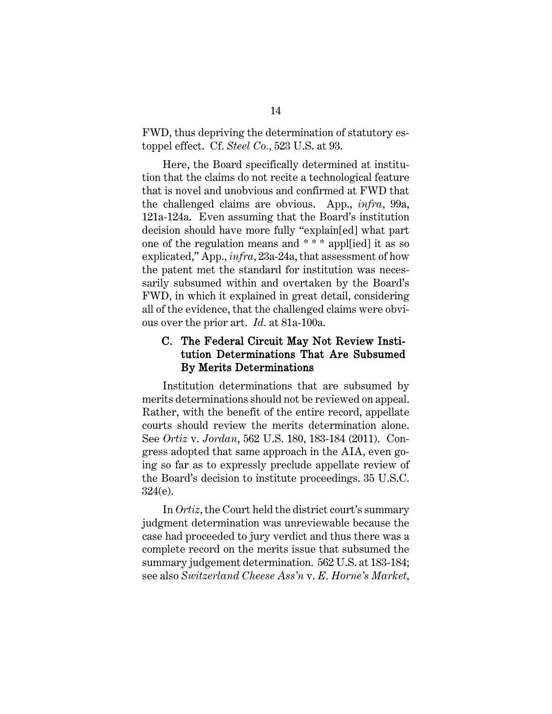FWD, thus depriving the determination of statutory estoppel effect. Cf. *Steel Co.*, 523 U.S. at 93.

Here, the Board specifically determined at institution that the claims do not recite a technological feature that is novel and unobvious and confirmed at FWD that the challenged claims are obvious. App., *infra*, 99a, 121a-124a. Even assuming that the Board's institution decision should have more fully "explain[ed] what part one of the regulation means and \* \* \* appl[ied] it as so explicated," App., *infra*, 23a-24a, that assessment of how the patent met the standard for institution was necessarily subsumed within and overtaken by the Board's FWD, in which it explained in great detail, considering all of the evidence, that the challenged claims were obvious over the prior art. *Id.* at 81a-100a.

### <span id="page-20-0"></span>C. The Federal Circuit May Not Review Institution Determinations That Are Subsumed By Merits Determinations

<span id="page-20-1"></span>Institution determinations that are subsumed by merits determinations should not be reviewed on appeal. Rather, with the benefit of the entire record, appellate courts should review the merits determination alone. See *Ortiz* v. *Jordan*, 562 U.S. 180, 183-184 (2011). Congress adopted that same approach in the AIA, even going so far as to expressly preclude appellate review of the Board's decision to institute proceedings. 35 U.S.C. 324(e).

<span id="page-20-2"></span>In *Ortiz*, the Court held the district court's summary judgment determination was unreviewable because the case had proceeded to jury verdict and thus there was a complete record on the merits issue that subsumed the summary judgement determination. 562 U.S. at 183-184; see also *Switzerland Cheese Ass'n* v. *E. Horne's Market,*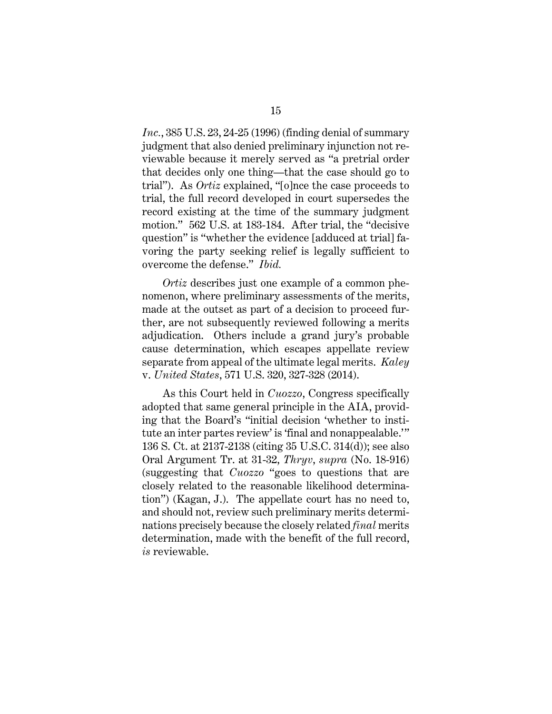*Inc.*, 385 U.S. 23, 24-25 (1996) (finding denial of summary judgment that also denied preliminary injunction not reviewable because it merely served as "a pretrial order that decides only one thing—that the case should go to trial"). As *Ortiz* explained, "[o]nce the case proceeds to trial, the full record developed in court supersedes the record existing at the time of the summary judgment motion." 562 U.S. at 183-184. After trial, the "decisive question" is "whether the evidence [adduced at trial] favoring the party seeking relief is legally sufficient to overcome the defense." *Ibid.*

<span id="page-21-2"></span>*Ortiz* describes just one example of a common phenomenon, where preliminary assessments of the merits, made at the outset as part of a decision to proceed further, are not subsequently reviewed following a merits adjudication. Others include a grand jury's probable cause determination, which escapes appellate review separate from appeal of the ultimate legal merits. *Kaley* v. *United States*, 571 U.S. 320, 327-328 (2014).

<span id="page-21-1"></span><span id="page-21-0"></span>As this Court held in *Cuozzo*, Congress specifically adopted that same general principle in the AIA, providing that the Board's "initial decision 'whether to institute an inter partes review' is 'final and nonappealable.'" 136 S. Ct. at 2137-2138 (citing 35 U.S.C. 314(d)); see also Oral Argument Tr. at 31-32, *Thryv*, *supra* (No. 18-916) (suggesting that *Cuozzo* "goes to questions that are closely related to the reasonable likelihood determination") (Kagan, J.). The appellate court has no need to, and should not, review such preliminary merits determinations precisely because the closely related *final* merits determination, made with the benefit of the full record, *is* reviewable.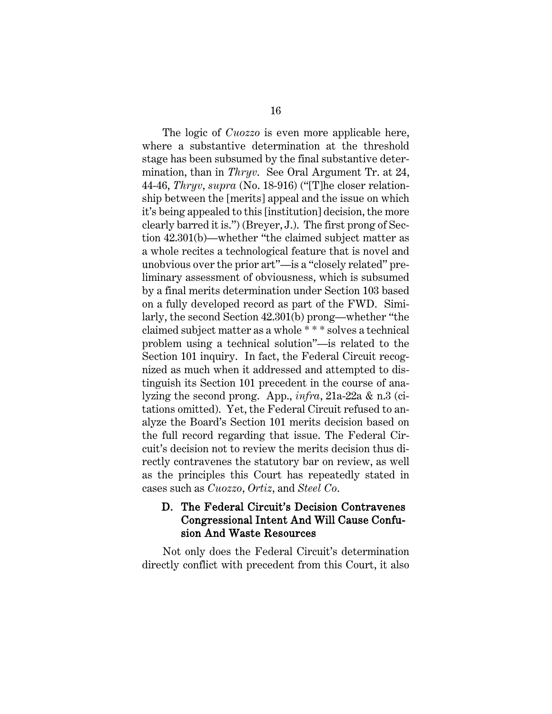The logic of *Cuozzo* is even more applicable here, where a substantive determination at the threshold stage has been subsumed by the final substantive determination, than in *Thryv*. See Oral Argument Tr. at 24, 44-46, *Thryv*, *supra* (No. 18-916) ("[T]he closer relationship between the [merits] appeal and the issue on which it's being appealed to this [institution] decision, the more clearly barred it is.") (Breyer, J.). The first prong of Section 42.301(b)—whether "the claimed subject matter as a whole recites a technological feature that is novel and unobvious over the prior art"—is a "closely related" preliminary assessment of obviousness, which is subsumed by a final merits determination under Section 103 based on a fully developed record as part of the FWD. Similarly, the second Section 42.301(b) prong—whether "the claimed subject matter as a whole \* \* \* solves a technical problem using a technical solution"—is related to the Section 101 inquiry. In fact, the Federal Circuit recognized as much when it addressed and attempted to distinguish its Section 101 precedent in the course of analyzing the second prong. App., *infra*, 21a-22a & n.3 (citations omitted). Yet, the Federal Circuit refused to analyze the Board's Section 101 merits decision based on the full record regarding that issue. The Federal Circuit's decision not to review the merits decision thus directly contravenes the statutory bar on review, as well as the principles this Court has repeatedly stated in cases such as *Cuozzo*, *Ortiz*, and *Steel Co*.

## <span id="page-22-1"></span><span id="page-22-0"></span>D. The Federal Circuit's Decision Contravenes Congressional Intent And Will Cause Confusion And Waste Resources

Not only does the Federal Circuit's determination directly conflict with precedent from this Court, it also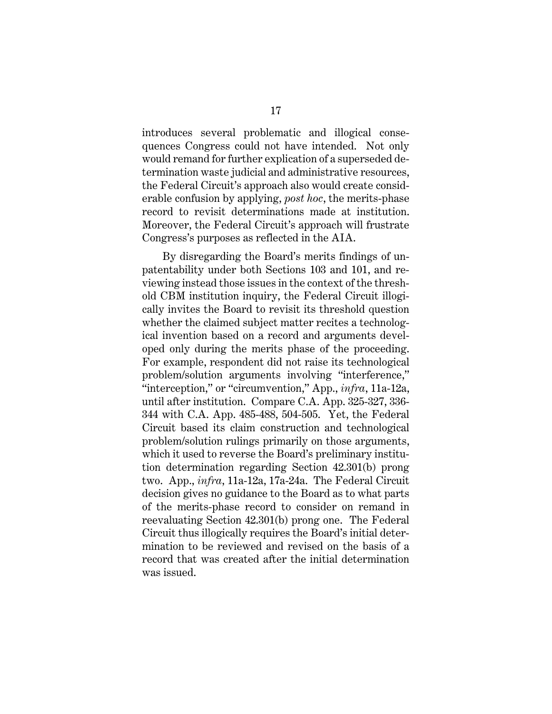introduces several problematic and illogical consequences Congress could not have intended. Not only would remand for further explication of a superseded determination waste judicial and administrative resources, the Federal Circuit's approach also would create considerable confusion by applying, *post hoc*, the merits-phase record to revisit determinations made at institution. Moreover, the Federal Circuit's approach will frustrate Congress's purposes as reflected in the AIA.

By disregarding the Board's merits findings of unpatentability under both Sections 103 and 101, and reviewing instead those issues in the context of the threshold CBM institution inquiry, the Federal Circuit illogically invites the Board to revisit its threshold question whether the claimed subject matter recites a technological invention based on a record and arguments developed only during the merits phase of the proceeding. For example, respondent did not raise its technological problem/solution arguments involving "interference," "interception," or "circumvention," App., *infra*, 11a-12a, until after institution. Compare C.A. App. 325-327, 336- 344 with C.A. App. 485-488, 504-505. Yet, the Federal Circuit based its claim construction and technological problem/solution rulings primarily on those arguments, which it used to reverse the Board's preliminary institution determination regarding Section 42.301(b) prong two. App., *infra*, 11a-12a, 17a-24a. The Federal Circuit decision gives no guidance to the Board as to what parts of the merits-phase record to consider on remand in reevaluating Section 42.301(b) prong one. The Federal Circuit thus illogically requires the Board's initial determination to be reviewed and revised on the basis of a record that was created after the initial determination was issued.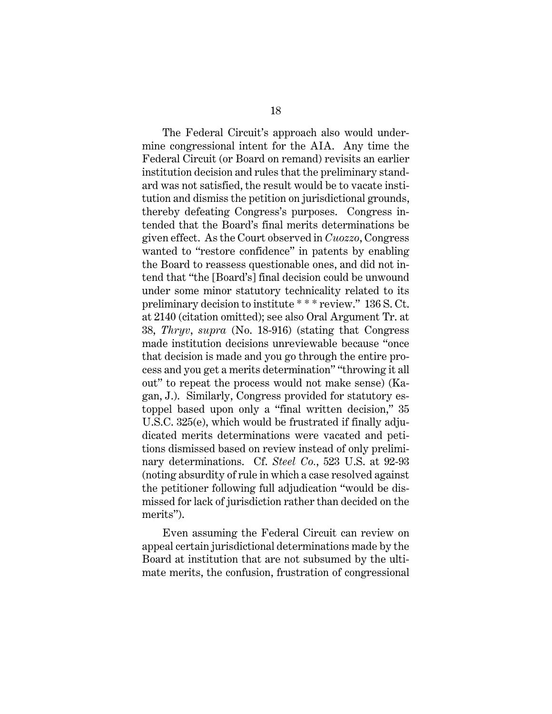<span id="page-24-0"></span>The Federal Circuit's approach also would undermine congressional intent for the AIA. Any time the Federal Circuit (or Board on remand) revisits an earlier institution decision and rules that the preliminary standard was not satisfied, the result would be to vacate institution and dismiss the petition on jurisdictional grounds, thereby defeating Congress's purposes. Congress intended that the Board's final merits determinations be given effect. As the Court observed in *Cuozzo*, Congress wanted to "restore confidence" in patents by enabling the Board to reassess questionable ones, and did not intend that "the [Board's] final decision could be unwound under some minor statutory technicality related to its preliminary decision to institute \* \* \* review." 136 S. Ct. at 2140 (citation omitted); see also Oral Argument Tr. at 38, *Thryv*, *supra* (No. 18-916) (stating that Congress made institution decisions unreviewable because "once that decision is made and you go through the entire process and you get a merits determination" "throwing it all out" to repeat the process would not make sense) (Kagan, J.). Similarly, Congress provided for statutory estoppel based upon only a "final written decision," 35 U.S.C. 325(e), which would be frustrated if finally adjudicated merits determinations were vacated and petitions dismissed based on review instead of only preliminary determinations. Cf. *Steel Co.*, 523 U.S. at 92-93 (noting absurdity of rule in which a case resolved against the petitioner following full adjudication "would be dismissed for lack of jurisdiction rather than decided on the merits").

Even assuming the Federal Circuit can review on appeal certain jurisdictional determinations made by the Board at institution that are not subsumed by the ultimate merits, the confusion, frustration of congressional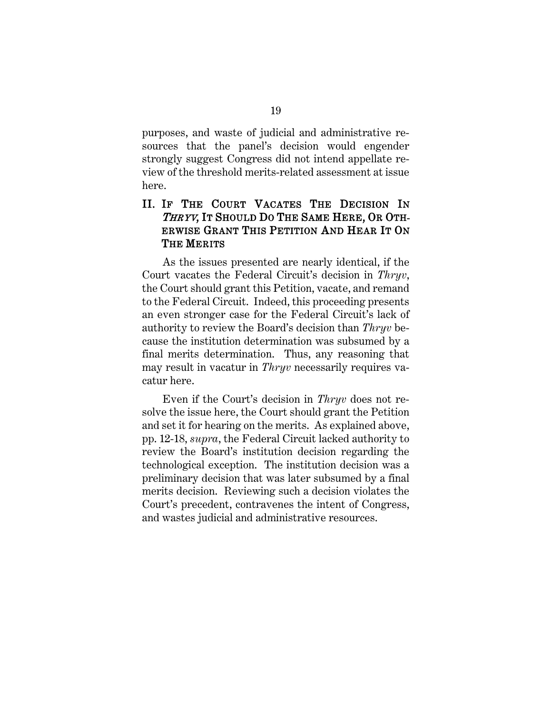purposes, and waste of judicial and administrative resources that the panel's decision would engender strongly suggest Congress did not intend appellate review of the threshold merits-related assessment at issue here.

## <span id="page-25-0"></span>II. IF THE COURT VACATES THE DECISION IN THRYV, IT SHOULD DO THE SAME HERE, OR OTH-ERWISE GRANT THIS PETITION AND HEAR IT ON THE MERITS

As the issues presented are nearly identical, if the Court vacates the Federal Circuit's decision in *Thryv*, the Court should grant this Petition, vacate, and remand to the Federal Circuit. Indeed, this proceeding presents an even stronger case for the Federal Circuit's lack of authority to review the Board's decision than *Thryv* because the institution determination was subsumed by a final merits determination. Thus, any reasoning that may result in vacatur in *Thryv* necessarily requires vacatur here.

Even if the Court's decision in *Thryv* does not resolve the issue here, the Court should grant the Petition and set it for hearing on the merits. As explained above, pp. 12-18, *supra*, the Federal Circuit lacked authority to review the Board's institution decision regarding the technological exception. The institution decision was a preliminary decision that was later subsumed by a final merits decision. Reviewing such a decision violates the Court's precedent, contravenes the intent of Congress, and wastes judicial and administrative resources.